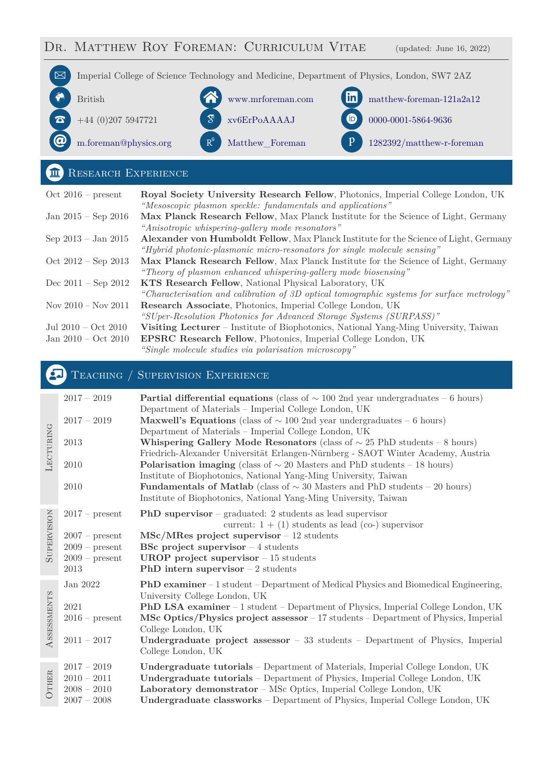B Imperial College of Science Technology and Medicine, Department of Physics, London, SW7 2AZ



# UNIVERSITY RESEARCH EXPERIENCE

| $Oct 2016$ – present    | Royal Society University Research Fellow, Photonics, Imperial College London, UK            |
|-------------------------|---------------------------------------------------------------------------------------------|
|                         |                                                                                             |
|                         | "Mesoscopic plasmon speckle: fundamentals and applications"                                 |
| Jan $2015 -$ Sep $2016$ | Max Planck Research Fellow, Max Planck Institute for the Science of Light, Germany          |
|                         | "Anisotropic whispering-gallery mode resonators"                                            |
| Sep $2013 - Jan 2015$   | Alexander von Humboldt Fellow, Max Planck Institute for the Science of Light, Germany       |
|                         | "Hybrid photonic-plasmonic micro-resonators for single molecule sensing"                    |
| Oct $2012 -$ Sep $2013$ | Max Planck Research Fellow, Max Planck Institute for the Science of Light, Germany          |
|                         | "Theory of plasmon enhanced whispering-gallery mode biosensing"                             |
| Dec $2011 -$ Sep $2012$ | KTS Research Fellow, National Physical Laboratory, UK                                       |
|                         | "Characterisation and calibration of 3D optical tomographic systems for surface metrology"  |
| Nov $2010 -$ Nov $2011$ | Research Associate, Photonics, Imperial College London, UK                                  |
|                         | "SUper-Resolution Photonics for Advanced Storage Systems (SURPASS)"                         |
| Jul 2010 – Oct 2010     | <b>Visiting Lecturer</b> – Institute of Biophotonics, National Yang-Ming University, Taiwan |
| Jan $2010 - Oct$ 2010   | <b>EPSRC Research Fellow</b> , Photonics, Imperial College London, UK                       |
|                         | "Single molecule studies via polarisation microscopy"                                       |

# Chalkboard-Teaching / Supervision Experience

| LECTURING          | $2017 - 2019$<br>$2017 - 2019$<br>2013<br>2010<br>2010                               | <b>Partial differential equations</b> (class of $\sim$ 100 2nd year undergraduates – 6 hours)<br>Department of Materials - Imperial College London, UK<br><b>Maxwell's Equations</b> (class of $\sim 100$ 2nd year undergraduates – 6 hours)<br>Department of Materials - Imperial College London, UK<br>Whispering Gallery Mode Resonators (class of $\sim 25$ PhD students - 8 hours)<br>Friedrich-Alexander Universität Erlangen-Nürnberg - SAOT Winter Academy, Austria<br><b>Polarisation imaging</b> (class of $\sim 20$ Masters and PhD students - 18 hours)<br>Institute of Biophotonics, National Yang-Ming University, Taiwan<br><b>Fundamentals of Matlab</b> (class of $\sim$ 30 Masters and PhD students – 20 hours)<br>Institute of Biophotonics, National Yang-Ming University, Taiwan |  |
|--------------------|--------------------------------------------------------------------------------------|-------------------------------------------------------------------------------------------------------------------------------------------------------------------------------------------------------------------------------------------------------------------------------------------------------------------------------------------------------------------------------------------------------------------------------------------------------------------------------------------------------------------------------------------------------------------------------------------------------------------------------------------------------------------------------------------------------------------------------------------------------------------------------------------------------|--|
| <b>SUPERVISION</b> | $2017$ – present<br>$2007$ – present<br>$2009$ – present<br>$2009$ – present<br>2013 | <b>PhD</b> supervisor $-$ graduated: 2 students as lead supervisor<br>current: $1 + (1)$ students as lead (co-) supervisor<br>$MSc/MRes$ project supervisor $-12$ students<br><b>BSc</b> project supervisor $-4$ students<br><b>UROP</b> project supervisor $-15$ students<br>PhD intern supervisor $-2$ students                                                                                                                                                                                                                                                                                                                                                                                                                                                                                     |  |
| ASSESSMENTS        | Jan 2022<br>2021<br>$2016$ – present<br>$2011 - 2017$                                | <b>PhD</b> examiner – 1 student – Department of Medical Physics and Biomedical Engineering,<br>University College London, UK<br><b>PhD LSA examiner</b> – 1 student – Department of Physics, Imperial College London, UK<br>$\overline{\text{MSc}}$ Optics/Physics project assessor $-17$ students – Department of Physics, Imperial<br>College London, UK<br>Undergraduate project assessor $-33$ students $-$ Department of Physics, Imperial<br>College London, UK                                                                                                                                                                                                                                                                                                                                 |  |
| OTHER              | $2017 - 2019$<br>$2010 - 2011$<br>$2008 - 2010$<br>$2007 - 2008$                     | Undergraduate tutorials – Department of Materials, Imperial College London, UK<br>Undergraduate tutorials - Department of Physics, Imperial College London, UK<br>Laboratory demonstrator - MSc Optics, Imperial College London, UK<br>Undergraduate classworks – Department of Physics, Imperial College London, UK                                                                                                                                                                                                                                                                                                                                                                                                                                                                                  |  |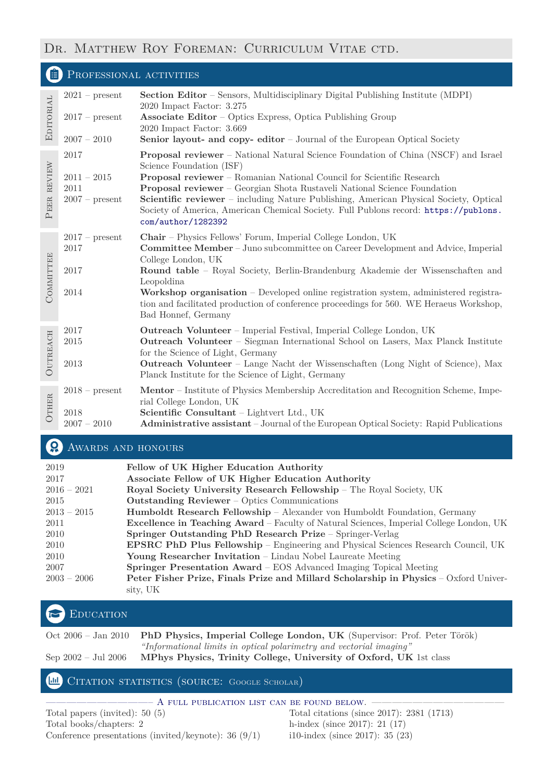# DR. MATTHEW ROY FOREMAN: CURRICULUM VITAE CTD.

**E** PROFESSIONAL ACTIVITIES 2021 – present **Section Editor** – Sensors, Multidisciplinary Digital Publishing Institute (MDPI) 2020 Impact Factor: 3.275 2017 – present **Associate Editor** – Optics Express, Optica Publishing Group 2020 Impact Factor: 3.669 Editorial 2007 – 2010 **Senior layout- and copy- editor** – Journal of the European Optical Society 2017 **Proposal reviewer** – National Natural Science Foundation of China (NSCF) and Israel Science Foundation (ISF) 2011 – 2015 **Proposal reviewer** – Romanian National Council for Scientific Research 2011 **Proposal reviewer** – Georgian Shota Rustaveli National Science Foundation Peer review 2007 – present **Scientific reviewer** – including Nature Publishing, American Physical Society, Optical Society of America, American Chemical Society. Full Publons record: [https://publons.](https://publons.com/author/1282392) [com/author/1282392](https://publons.com/author/1282392) 2017 – present **Chair** – Physics Fellows' Forum, Imperial College London, UK 2017 **Committee Member** – Juno subcommittee on Career Development and Advice, Imperial College London, UK 2017 **Round table** – Royal Society, Berlin-Brandenburg Akademie der Wissenschaften and Leopoldina **COMMITTEE** 2014 **Workshop organisation** – Developed online registration system, administered registration and facilitated production of conference proceedings for 560. WE Heraeus Workshop, Bad Honnef, Germany 2017 **Outreach Volunteer** – Imperial Festival, Imperial College London, UK 2015 **Outreach Volunteer** – Siegman International School on Lasers, Max Planck Institute for the Science of Light, Germany Outreach 2013 **Outreach Volunteer** – Lange Nacht der Wissenschaften (Long Night of Science), Max Planck Institute for the Science of Light, Germany 2018 – present **Mentor** – Institute of Physics Membership Accreditation and Recognition Scheme, Imperial College London, UK 2018 **Scientific Consultant** – Lightvert Ltd., UK **OTHER** 2007 – 2010 **Administrative assistant** – Journal of the European Optical Society: Rapid Publications

### AWARDS AND HONOURS

| 2019          | Fellow of UK Higher Education Authority                                                        |
|---------------|------------------------------------------------------------------------------------------------|
| 2017          | Associate Fellow of UK Higher Education Authority                                              |
| $2016 - 2021$ | Royal Society University Research Fellowship - The Royal Society, UK                           |
| 2015          | <b>Outstanding Reviewer</b> – Optics Communications                                            |
| $2013 - 2015$ | Humboldt Research Fellowship - Alexander von Humboldt Foundation, Germany                      |
| 2011          | <b>Excellence in Teaching Award</b> – Faculty of Natural Sciences, Imperial College London, UK |
| 2010          | Springer Outstanding PhD Research Prize - Springer-Verlag                                      |
| 2010          | <b>EPSRC PhD Plus Fellowship</b> – Engineering and Physical Sciences Research Council, UK      |
| 2010          | <b>Young Researcher Invitation</b> – Lindau Nobel Laureate Meeting                             |
| 2007          | <b>Springer Presentation Award</b> – EOS Advanced Imaging Topical Meeting                      |
| $2003 - 2006$ | Peter Fisher Prize, Finals Prize and Millard Scholarship in Physics – Oxford Univer-           |
|               | sity, UK                                                                                       |

### EDUCATION

|                       | Oct 2006 - Jan 2010 PhD Physics, Imperial College London, UK (Supervisor: Prof. Peter Török) |  |
|-----------------------|----------------------------------------------------------------------------------------------|--|
|                       | "Informational limits in optical polarimetry and vectorial imaging"                          |  |
| Sep $2002 -$ Jul 2006 | MPhys Physics, Trinity College, University of Oxford, UK 1st class                           |  |

### **(MM)** CITATION STATISTICS (SOURCE: GOOGLE SCHOLAR)

| $-$ A full publication list can be found below.        |                                             |
|--------------------------------------------------------|---------------------------------------------|
| Total papers (invited): $50(5)$                        | Total citations (since 2017): $2381$ (1713) |
| Total books/chapters: 2                                | h-index (since 2017): $21(17)$              |
| Conference presentations (invited/keynote): $36 (9/1)$ | i10-index (since 2017): $35(23)$            |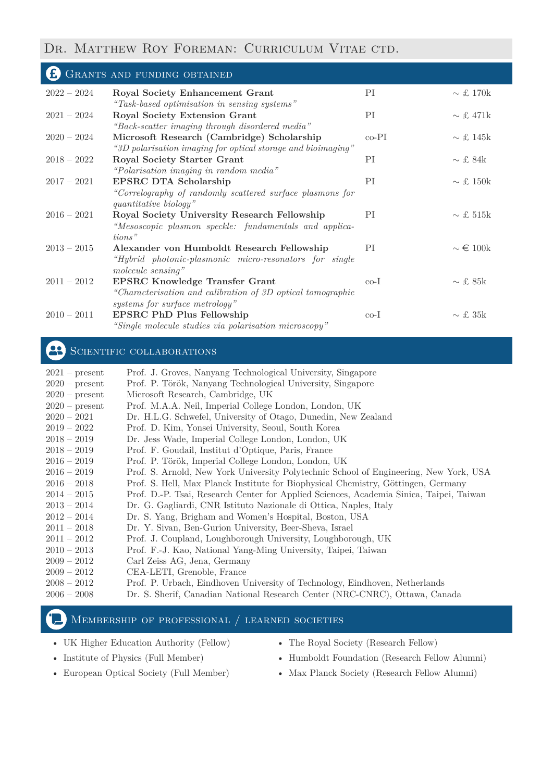# DR. MATTHEW ROY FOREMAN: CURRICULUM VITAE CTD.

| GRANTS AND FUNDING OBTAINED |                                                                                    |         |                      |
|-----------------------------|------------------------------------------------------------------------------------|---------|----------------------|
| $2022 - 2024$               | Royal Society Enhancement Grant                                                    | PI      | $\sim$ £ 170k        |
|                             | "Task-based optimisation in sensing systems"                                       |         |                      |
| $2021 - 2024$               | Royal Society Extension Grant                                                      | PI      | $\sim$ £ 471k        |
|                             | "Back-scatter imaging through disordered media"                                    |         |                      |
| $2020 - 2024$               | Microsoft Research (Cambridge) Scholarship                                         | $co-PI$ | $\sim$ £ 145k        |
|                             | "3D polarisation imaging for optical storage and bioimaging"                       |         |                      |
| $2018 - 2022$               | <b>Royal Society Starter Grant</b>                                                 | PI      | $\sim$ £ 84k         |
|                             | "Polarisation imaging in random media"                                             |         |                      |
| $2017 - 2021$               | <b>EPSRC DTA Scholarship</b>                                                       | PI      | $\sim$ £ 150k        |
|                             | "Correlography of randomly scattered surface plasmons for<br>quantitative biology" |         |                      |
| $2016 - 2021$               | Royal Society University Research Fellowship                                       | PI      | $\sim$ £ 515k        |
|                             | "Mesoscopic plasmon speckle: fundamentals and applica-                             |         |                      |
|                             | tions"                                                                             |         |                      |
| $2013 - 2015$               | Alexander von Humboldt Research Fellowship                                         | PI      | $\sim \epsilon 100k$ |
|                             | "Hybrid photonic-plasmonic micro-resonators for single                             |         |                      |
|                             | molecule sensing"                                                                  |         |                      |
| $2011 - 2012$               | <b>EPSRC</b> Knowledge Transfer Grant                                              | $co-I$  | $\sim$ £ 85k         |
|                             | "Characterisation and calibration of 3D optical tomographic                        |         |                      |
|                             | systems for surface metrology"                                                     |         |                      |
| $2010 - 2011$               | <b>EPSRC PhD Plus Fellowship</b>                                                   | $co-I$  | $\sim$ £ 35k         |
|                             | "Single molecule studies via polarisation microscopy"                              |         |                      |

### SCIENTIFIC COLLABORATIONS

| $2021$ – present | Prof. J. Groves, Nanyang Technological University, Singapore                            |
|------------------|-----------------------------------------------------------------------------------------|
| $2020$ – present | Prof. P. Török, Nanyang Technological University, Singapore                             |
| $2020$ – present | Microsoft Research, Cambridge, UK                                                       |
| $2020$ – present | Prof. M.A.A. Neil, Imperial College London, London, UK                                  |
| $2020 - 2021$    | Dr. H.L.G. Schwefel, University of Otago, Dunedin, New Zealand                          |
| $2019 - 2022$    | Prof. D. Kim, Yonsei University, Seoul, South Korea                                     |
| $2018 - 2019$    | Dr. Jess Wade, Imperial College London, London, UK                                      |
| $2018 - 2019$    | Prof. F. Goudail, Institut d'Optique, Paris, France                                     |
| $2016 - 2019$    | Prof. P. Török, Imperial College London, London, UK                                     |
| $2016 - 2019$    | Prof. S. Arnold, New York University Polytechnic School of Engineering, New York, USA   |
| $2016 - 2018$    | Prof. S. Hell, Max Planck Institute for Biophysical Chemistry, Göttingen, Germany       |
| $2014 - 2015$    | Prof. D.-P. Tsai, Research Center for Applied Sciences, Academia Sinica, Taipei, Taiwan |
| $2013 - 2014$    | Dr. G. Gagliardi, CNR Istituto Nazionale di Ottica, Naples, Italy                       |
| $2012 - 2014$    | Dr. S. Yang, Brigham and Women's Hospital, Boston, USA                                  |
| $2011 - 2018$    | Dr. Y. Sivan, Ben-Gurion University, Beer-Sheva, Israel                                 |
| $2011 - 2012$    | Prof. J. Coupland, Loughborough University, Loughborough, UK                            |
| $2010 - 2013$    | Prof. F.-J. Kao, National Yang-Ming University, Taipei, Taiwan                          |
| $2009 - 2012$    | Carl Zeiss AG, Jena, Germany                                                            |
| $2009 - 2012$    | CEA-LETI, Grenoble, France                                                              |
| $2008 - 2012$    | Prof. P. Urbach, Eindhoven University of Technology, Eindhoven, Netherlands             |
| $2006 - 2008$    | Dr. S. Sherif, Canadian National Research Center (NRC-CNRC), Ottawa, Canada             |
|                  |                                                                                         |

## SCROLL Membership of professional / learned societies

- UK Higher Education Authority (Fellow)
- Institute of Physics (Full Member)
- The Royal Society (Research Fellow)
- 
- Humboldt Foundation (Research Fellow Alumni)
- European Optical Society (Full Member)
- Max Planck Society (Research Fellow Alumni)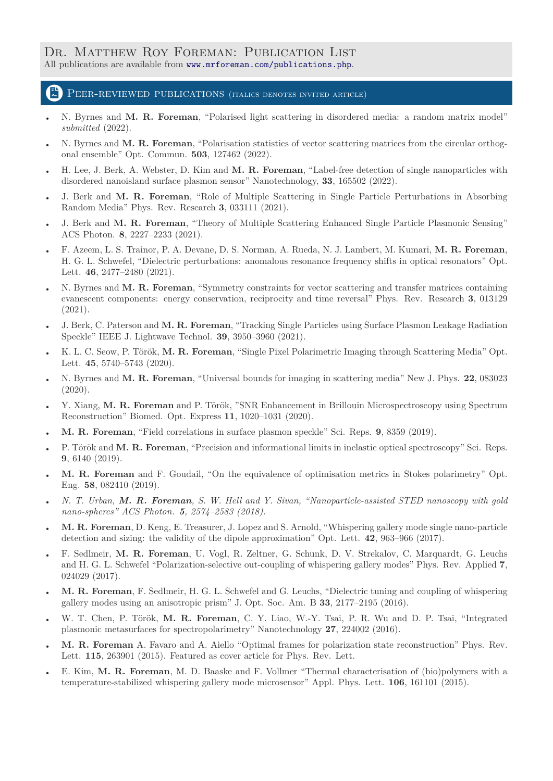### DR. MATTHEW ROY FOREMAN: PUBLICATION LIST

All publications are available from <www.mrforeman.com/publications.php>.

#### <span id="page-3-0"></span>PEER-REVIEWED PUBLICATIONS (ITALICS DENOTES INVITED ARTICLE)

- N. Byrnes and **M. R. Foreman**, "Polarised light scattering in disordered media: a random matrix model" *submitted* (2022).
- N. Byrnes and **M. R. Foreman**, "Polarisation statistics of vector scattering matrices from the circular orthogonal ensemble" Opt. Commun. **503**, 127462 (2022).
- H. Lee, J. Berk, A. Webster, D. Kim and **M. R. Foreman**, "Label-free detection of single nanoparticles with disordered nanoisland surface plasmon sensor" Nanotechnology, **33**, 165502 (2022).
- J. Berk and **M. R. Foreman**, "Role of Multiple Scattering in Single Particle Perturbations in Absorbing Random Media" Phys. Rev. Research **3**, 033111 (2021).
- J. Berk and **M. R. Foreman**, "Theory of Multiple Scattering Enhanced Single Particle Plasmonic Sensing" ACS Photon. **8**, 2227–2233 (2021).
- F. Azeem, L. S. Trainor, P. A. Devane, D. S. Norman, A. Rueda, N. J. Lambert, M. Kumari, **M. R. Foreman**, H. G. L. Schwefel, "Dielectric perturbations: anomalous resonance frequency shifts in optical resonators" Opt. Lett. **46**, 2477–2480 (2021).
- N. Byrnes and **M. R. Foreman**, "Symmetry constraints for vector scattering and transfer matrices containing evanescent components: energy conservation, reciprocity and time reversal" Phys. Rev. Research **3**, 013129 (2021).
- J. Berk, C. Paterson and **M. R. Foreman**, "Tracking Single Particles using Surface Plasmon Leakage Radiation Speckle" IEEE J. Lightwave Technol. **39**, 3950–3960 (2021).
- K. L. C. Seow, P. Török, **M. R. Foreman**, "Single Pixel Polarimetric Imaging through Scattering Media" Opt. Lett. **45**, 5740–5743 (2020).
- N. Byrnes and **M. R. Foreman**, "Universal bounds for imaging in scattering media" New J. Phys. **22**, 083023 (2020).
- Y. Xiang, **M. R. Foreman** and P. Török, "SNR Enhancement in Brillouin Microspectroscopy using Spectrum Reconstruction" Biomed. Opt. Express **11**, 1020–1031 (2020).
- **M. R. Foreman**, "Field correlations in surface plasmon speckle" Sci. Reps. **9**, 8359 (2019).
- P. Török and **M. R. Foreman**, "Precision and informational limits in inelastic optical spectroscopy" Sci. Reps. **9**, 6140 (2019).
- **M. R. Foreman** and F. Goudail, "On the equivalence of optimisation metrics in Stokes polarimetry" Opt. Eng. **58**, 082410 (2019).
- *N. T. Urban, M. R. Foreman, S. W. Hell and Y. Sivan, "Nanoparticle-assisted STED nanoscopy with gold nano-spheres" ACS Photon. 5, 2574–2583 (2018).*
- **M. R. Foreman**, D. Keng, E. Treasurer, J. Lopez and S. Arnold, "Whispering gallery mode single nano-particle detection and sizing: the validity of the dipole approximation" Opt. Lett. **42**, 963–966 (2017).
- F. Sedlmeir, **M. R. Foreman**, U. Vogl, R. Zeltner, G. Schunk, D. V. Strekalov, C. Marquardt, G. Leuchs and H. G. L. Schwefel "Polarization-selective out-coupling of whispering gallery modes" Phys. Rev. Applied **7**, 024029 (2017).
- **M. R. Foreman**, F. Sedlmeir, H. G. L. Schwefel and G. Leuchs, "Dielectric tuning and coupling of whispering gallery modes using an anisotropic prism" J. Opt. Soc. Am. B **33**, 2177–2195 (2016).
- W. T. Chen, P. Török, **M. R. Foreman**, C. Y. Liao, W.-Y. Tsai, P. R. Wu and D. P. Tsai, "Integrated plasmonic metasurfaces for spectropolarimetry" Nanotechnology **27**, 224002 (2016).
- **M. R. Foreman** A. Favaro and A. Aiello "Optimal frames for polarization state reconstruction" Phys. Rev. Lett. **115**, 263901 (2015). Featured as cover article for Phys. Rev. Lett.
- E. Kim, **M. R. Foreman**, M. D. Baaske and F. Vollmer "Thermal characterisation of (bio)polymers with a temperature-stabilized whispering gallery mode microsensor" Appl. Phys. Lett. **106**, 161101 (2015).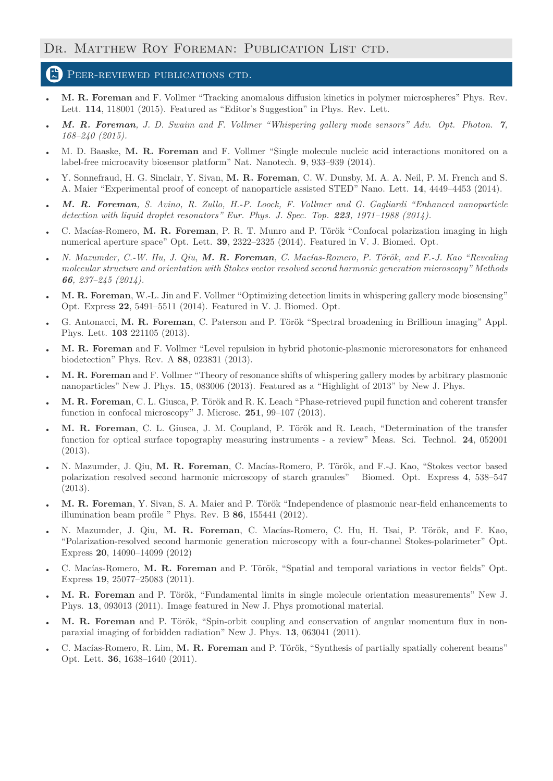## DR. MATTHEW ROY FOREMAN: PUBLICATION LIST CTD.

#### $F$ FEER-REVIEWED PUBLICATIONS CTD.

- **M. R. Foreman** and F. Vollmer "Tracking anomalous diffusion kinetics in polymer microspheres" Phys. Rev. Lett. **114**, 118001 (2015). Featured as "Editor's Suggestion" in Phys. Rev. Lett.
- *M. R. Foreman, J. D. Swaim and F. Vollmer "Whispering gallery mode sensors" Adv. Opt. Photon. 7, 168–240 (2015).*
- M. D. Baaske, **M. R. Foreman** and F. Vollmer "Single molecule nucleic acid interactions monitored on a label-free microcavity biosensor platform" Nat. Nanotech. **9**, 933–939 (2014).
- Y. Sonnefraud, H. G. Sinclair, Y. Sivan, **M. R. Foreman**, C. W. Dunsby, M. A. A. Neil, P. M. French and S. A. Maier "Experimental proof of concept of nanoparticle assisted STED" Nano. Lett. **14**, 4449–4453 (2014).
- *M. R. Foreman, S. Avino, R. Zullo, H.-P. Loock, F. Vollmer and G. Gagliardi "Enhanced nanoparticle detection with liquid droplet resonators" Eur. Phys. J. Spec. Top. 223, 1971–1988 (2014).*
- C. Macías-Romero, **M. R. Foreman**, P. R. T. Munro and P. Török "Confocal polarization imaging in high numerical aperture space" Opt. Lett. **39**, 2322–2325 (2014). Featured in V. J. Biomed. Opt.
- *N. Mazumder, C.-W. Hu, J. Qiu, M. R. Foreman, C. Macías-Romero, P. Török, and F.-J. Kao "Revealing molecular structure and orientation with Stokes vector resolved second harmonic generation microscopy" Methods 66, 237–245 (2014).*
- **M. R. Foreman**, W.-L. Jin and F. Vollmer "Optimizing detection limits in whispering gallery mode biosensing" Opt. Express **22**, 5491–5511 (2014). Featured in V. J. Biomed. Opt.
- G. Antonacci, **M. R. Foreman**, C. Paterson and P. Török "Spectral broadening in Brillioun imaging" Appl. Phys. Lett. **103** 221105 (2013).
- **M. R. Foreman** and F. Vollmer "Level repulsion in hybrid photonic-plasmonic microresonators for enhanced biodetection" Phys. Rev. A **88**, 023831 (2013).
- **M. R. Foreman** and F. Vollmer "Theory of resonance shifts of whispering gallery modes by arbitrary plasmonic nanoparticles" New J. Phys. **15**, 083006 (2013). Featured as a "Highlight of 2013" by New J. Phys.
- **M. R. Foreman**, C. L. Giusca, P. Török and R. K. Leach "Phase-retrieved pupil function and coherent transfer function in confocal microscopy" J. Microsc. **251**, 99–107 (2013).
- **M. R. Foreman**, C. L. Giusca, J. M. Coupland, P. Török and R. Leach, "Determination of the transfer function for optical surface topography measuring instruments - a review" Meas. Sci. Technol. **24**, 052001 (2013).
- N. Mazumder, J. Qiu, **M. R. Foreman**, C. Macías-Romero, P. Török, and F.-J. Kao, "Stokes vector based polarization resolved second harmonic microscopy of starch granules" Biomed. Opt. Express **4**, 538–547 (2013).
- **M. R. Foreman**, Y. Sivan, S. A. Maier and P. Török "Independence of plasmonic near-field enhancements to illumination beam profile " Phys. Rev. B **86**, 155441 (2012).
- N. Mazumder, J. Qiu, **M. R. Foreman**, C. Macías-Romero, C. Hu, H. Tsai, P. Török, and F. Kao, "Polarization-resolved second harmonic generation microscopy with a four-channel Stokes-polarimeter" Opt. Express **20**, 14090–14099 (2012)
- C. Macías-Romero, **M. R. Foreman** and P. Török, "Spatial and temporal variations in vector fields" Opt. Express **19**, 25077–25083 (2011).
- **M. R. Foreman** and P. Török, "Fundamental limits in single molecule orientation measurements" New J. Phys. **13**, 093013 (2011). Image featured in New J. Phys promotional material.
- **M. R. Foreman** and P. Török, "Spin-orbit coupling and conservation of angular momentum flux in nonparaxial imaging of forbidden radiation" New J. Phys. **13**, 063041 (2011).
- C. Macías-Romero, R. Lim, **M. R. Foreman** and P. Török, "Synthesis of partially spatially coherent beams" Opt. Lett. **36**, 1638–1640 (2011).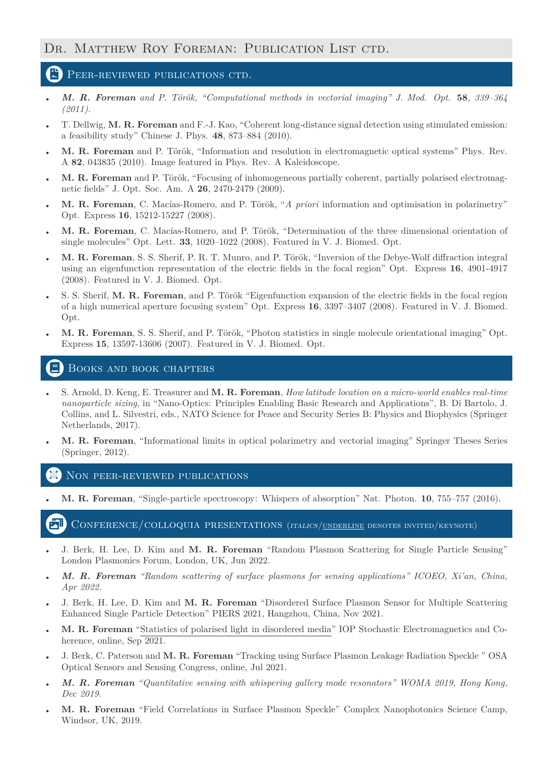# DR. MATTHEW ROY FOREMAN: PUBLICATION LIST CTD.

### PEER-REVIEWED PUBLICATIONS CTD.

- *M. R. Foreman and P. Török, "Computational methods in vectorial imaging" J. Mod. Opt.* **58***, 339–364 (2011).*
- T. Dellwig, **M. R. Foreman** and F.-J. Kao, "Coherent long-distance signal detection using stimulated emission: a feasibility study" Chinese J. Phys. **48**, 873–884 (2010).
- **M. R. Foreman** and P. Török, "Information and resolution in electromagnetic optical systems" Phys. Rev. A **82**, 043835 (2010). Image featured in Phys. Rev. A Kaleidoscope.
- **M. R. Foreman** and P. Török, "Focusing of inhomogeneous partially coherent, partially polarised electromagnetic fields" J. Opt. Soc. Am. A **26**, 2470-2479 (2009).
- **M. R. Foreman**, C. Macías-Romero, and P. Török, "*A priori* information and optimisation in polarimetry" Opt. Express **16**, 15212-15227 (2008).
- **M. R. Foreman**, C. Macías-Romero, and P. Török, "Determination of the three dimensional orientation of single molecules" Opt. Lett. **33**, 1020–1022 (2008). Featured in V. J. Biomed. Opt.
- **M. R. Foreman**, S. S. Sherif, P. R. T. Munro, and P. Török, "Inversion of the Debye-Wolf diffraction integral using an eigenfunction representation of the electric fields in the focal region" Opt. Express **16**, 4901-4917 (2008). Featured in V. J. Biomed. Opt.
- S. S. Sherif, **M. R. Foreman**, and P. Török "Eigenfunction expansion of the electric fields in the focal region of a high numerical aperture focusing system" Opt. Express **16**, 3397–3407 (2008). Featured in V. J. Biomed. Opt.
- **M. R. Foreman**, S. S. Sherif, and P. Török, "Photon statistics in single molecule orientational imaging" Opt. Express **15**, 13597-13606 (2007). Featured in V. J. Biomed. Opt.

# BOOKS AND BOOK CHAPTERS

- S. Arnold, D. Keng, E. Treasurer and **M. R. Foreman**, *How latitude location on a micro-world enables real-time nanoparticle sizing*, in "Nano-Optics: Principles Enabling Basic Research and Applications", B. Di Bartolo, J. Collins, and L. Silvestri, eds., NATO Science for Peace and Security Series B: Physics and Biophysics (Springer Netherlands, 2017).
- **M. R. Foreman**, "Informational limits in optical polarimetry and vectorial imaging" Springer Theses Series (Springer, 2012).

NON PEER-REVIEWED PUBLICATIONS

• **M. R. Foreman**, "Single-particle spectroscopy: Whispers of absorption" Nat. Photon. **10**, 755–757 (2016).

CONFERENCE/COLLOQUIA PRESENTATIONS (ITALICS/UNDERLINE DENOTES INVITED/KEYNOTE)

- J. Berk, H. Lee, D. Kim and **M. R. Foreman** "Random Plasmon Scattering for Single Particle Sensing" London Plasmonics Forum, London, UK, Jun 2022.
- *M. R. Foreman "Random scattering of surface plasmons for sensing applications" ICOEO, Xi'an, China, Apr 2022.*
- J. Berk, H. Lee, D. Kim and **M. R. Foreman** "Disordered Surface Plasmon Sensor for Multiple Scattering Enhanced Single Particle Detection" PIERS 2021, Hangzhou, China, Nov 2021.
- **M. R. Foreman** "Statistics of polarised light in disordered media" IOP Stochastic Electromagnetics and Coherence, online, Sep 2021.
- J. Berk, C. Paterson and **M. R. Foreman** "Tracking using Surface Plasmon Leakage Radiation Speckle " OSA Optical Sensors and Sensing Congress, online, Jul 2021.
- *M. R. Foreman "Quantitative sensing with whispering gallery mode resonators" WOMA 2019, Hong Kong, Dec 2019.*
- **M. R. Foreman** "Field Correlations in Surface Plasmon Speckle" Complex Nanophotonics Science Camp, Windsor, UK, 2019.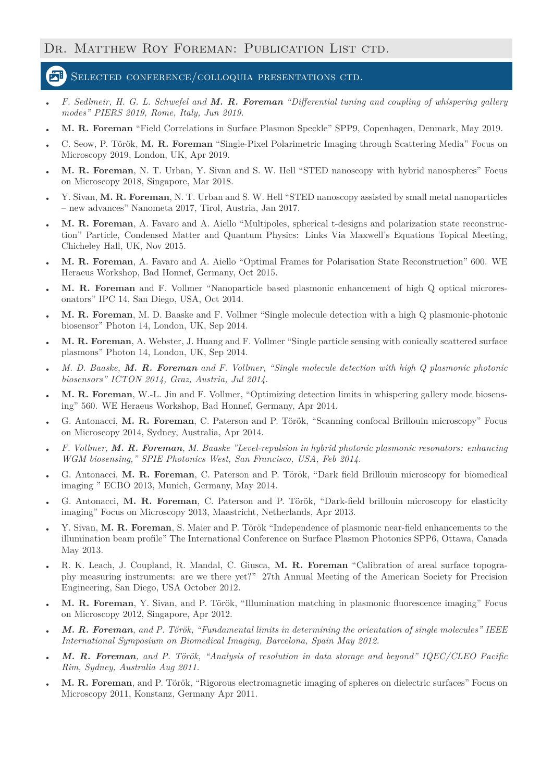#### SELECTED CONFERENCE/COLLOQUIA PRESENTATIONS CTD.

- *F. Sedlmeir, H. G. L. Schwefel and M. R. Foreman "Differential tuning and coupling of whispering gallery modes" PIERS 2019, Rome, Italy, Jun 2019.*
- **M. R. Foreman** "Field Correlations in Surface Plasmon Speckle" SPP9, Copenhagen, Denmark, May 2019.
- C. Seow, P. Török, **M. R. Foreman** "Single-Pixel Polarimetric Imaging through Scattering Media" Focus on Microscopy 2019, London, UK, Apr 2019.
- **M. R. Foreman**, N. T. Urban, Y. Sivan and S. W. Hell "STED nanoscopy with hybrid nanospheres" Focus on Microscopy 2018, Singapore, Mar 2018.
- Y. Sivan, **M. R. Foreman**, N. T. Urban and S. W. Hell "STED nanoscopy assisted by small metal nanoparticles – new advances" Nanometa 2017, Tirol, Austria, Jan 2017.
- **M. R. Foreman**, A. Favaro and A. Aiello "Multipoles, spherical t-designs and polarization state reconstruction" Particle, Condensed Matter and Quantum Physics: Links Via Maxwell's Equations Topical Meeting, Chicheley Hall, UK, Nov 2015.
- **M. R. Foreman**, A. Favaro and A. Aiello "Optimal Frames for Polarisation State Reconstruction" 600. WE Heraeus Workshop, Bad Honnef, Germany, Oct 2015.
- **M. R. Foreman** and F. Vollmer "Nanoparticle based plasmonic enhancement of high Q optical microresonators" IPC 14, San Diego, USA, Oct 2014.
- **M. R. Foreman**, M. D. Baaske and F. Vollmer "Single molecule detection with a high Q plasmonic-photonic biosensor" Photon 14, London, UK, Sep 2014.
- **M. R. Foreman**, A. Webster, J. Huang and F. Vollmer "Single particle sensing with conically scattered surface plasmons" Photon 14, London, UK, Sep 2014.
- *M. D. Baaske, M. R. Foreman and F. Vollmer, "Single molecule detection with high Q plasmonic photonic biosensors" ICTON 2014, Graz, Austria, Jul 2014.*
- **M. R. Foreman**, W.-L. Jin and F. Vollmer, "Optimizing detection limits in whispering gallery mode biosensing" 560. WE Heraeus Workshop, Bad Honnef, Germany, Apr 2014.
- G. Antonacci, **M. R. Foreman**, C. Paterson and P. Török, "Scanning confocal Brillouin microscopy" Focus on Microscopy 2014, Sydney, Australia, Apr 2014.
- *F. Vollmer, M. R. Foreman, M. Baaske "Level-repulsion in hybrid photonic plasmonic resonators: enhancing WGM biosensing," SPIE Photonics West, San Francisco, USA, Feb 2014.*
- G. Antonacci, **M. R. Foreman**, C. Paterson and P. Török, "Dark field Brillouin microscopy for biomedical imaging " ECBO 2013, Munich, Germany, May 2014.
- G. Antonacci, **M. R. Foreman**, C. Paterson and P. Török, "Dark-field brillouin microscopy for elasticity imaging" Focus on Microscopy 2013, Maastricht, Netherlands, Apr 2013.
- Y. Sivan, **M. R. Foreman**, S. Maier and P. Török "Independence of plasmonic near-field enhancements to the illumination beam profile" The International Conference on Surface Plasmon Photonics SPP6, Ottawa, Canada May 2013.
- R. K. Leach, J. Coupland, R. Mandal, C. Giusca, **M. R. Foreman** "Calibration of areal surface topography measuring instruments: are we there yet?" 27th Annual Meeting of the American Society for Precision Engineering, San Diego, USA October 2012.
- **M. R. Foreman**, Y. Sivan, and P. Török, "Illumination matching in plasmonic fluorescence imaging" Focus on Microscopy 2012, Singapore, Apr 2012.
- *M. R. Foreman, and P. Török, "Fundamental limits in determining the orientation of single molecules" IEEE International Symposium on Biomedical Imaging, Barcelona, Spain May 2012.*
- *M. R. Foreman, and P. Török, "Analysis of resolution in data storage and beyond" IQEC/CLEO Pacific Rim, Sydney, Australia Aug 2011.*
- **M. R. Foreman**, and P. Török, "Rigorous electromagnetic imaging of spheres on dielectric surfaces" Focus on Microscopy 2011, Konstanz, Germany Apr 2011.